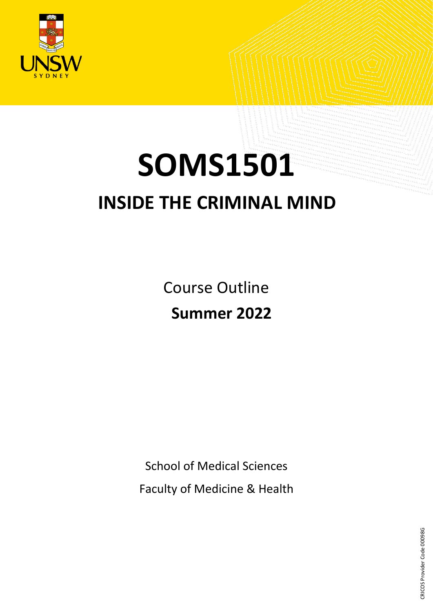

# **SOMS1501 INSIDE THE CRIMINAL MIND**

Course Outline **Summer 2022**

School of Medical Sciences

Faculty of Medicine & Health

CRICOS Provider Code 00098G CRICOS Provider Code 00098G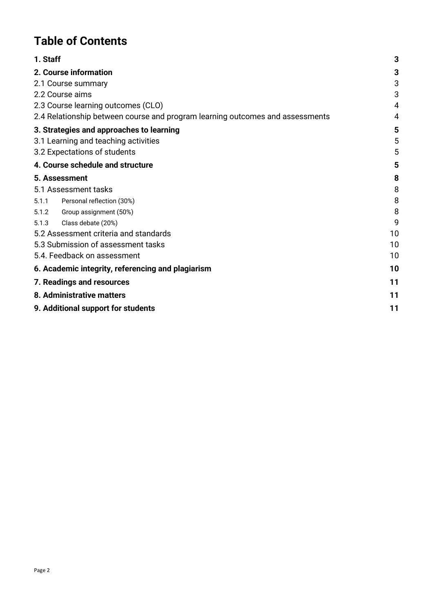## **Table of Contents**

| 1. Staff                                                                      | 3  |
|-------------------------------------------------------------------------------|----|
| 2. Course information                                                         | 3  |
| 2.1 Course summary                                                            | 3  |
| 2.2 Course aims                                                               | 3  |
| 2.3 Course learning outcomes (CLO)                                            | 4  |
| 2.4 Relationship between course and program learning outcomes and assessments | 4  |
| 3. Strategies and approaches to learning                                      | 5  |
| 3.1 Learning and teaching activities                                          | 5  |
| 3.2 Expectations of students                                                  | 5  |
| 4. Course schedule and structure                                              | 5  |
| 5. Assessment                                                                 | 8  |
| 5.1 Assessment tasks                                                          | 8  |
| Personal reflection (30%)<br>5.1.1                                            | 8  |
| Group assignment (50%)<br>5.1.2                                               | 8  |
| 5.1.3<br>Class debate (20%)                                                   | 9  |
| 5.2 Assessment criteria and standards                                         | 10 |
| 5.3 Submission of assessment tasks                                            | 10 |
| 5.4. Feedback on assessment                                                   | 10 |
| 6. Academic integrity, referencing and plagiarism                             | 10 |
| 7. Readings and resources                                                     | 11 |
| 8. Administrative matters                                                     | 11 |
| 9. Additional support for students                                            | 11 |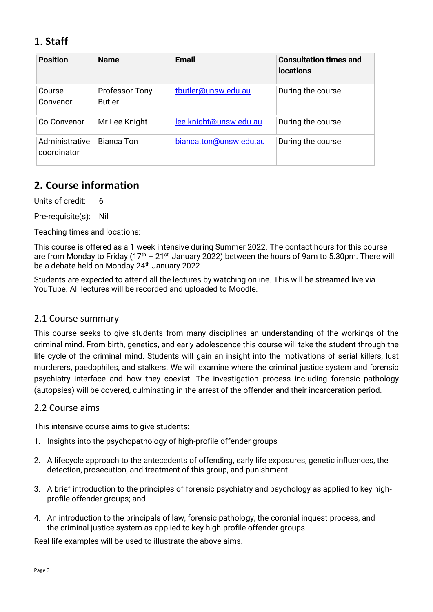## <span id="page-2-0"></span>1. **Staff**

| <b>Position</b>               | <b>Name</b>                            | <b>Email</b>           | <b>Consultation times and</b><br><b>locations</b> |
|-------------------------------|----------------------------------------|------------------------|---------------------------------------------------|
| Course<br>Convenor            | <b>Professor Tony</b><br><b>Butler</b> | tbutler@unsw.edu.au    | During the course                                 |
| Co-Convenor                   | Mr Lee Knight                          | lee.knight@unsw.edu.au | During the course                                 |
| Administrative<br>coordinator | Bianca Ton                             | bianca.ton@unsw.edu.au | During the course                                 |

## <span id="page-2-1"></span>**2. Course information**

Units of credit: 6

Pre-requisite(s): Nil

Teaching times and locations:

This course is offered as a 1 week intensive during Summer 2022. The contact hours for this course are from Mondav to Friday ( $17<sup>th</sup> - 21<sup>st</sup>$  January 2022) between the hours of 9am to 5.30pm. There will be a debate held on Monday 24<sup>th</sup> January 2022.

Students are expected to attend all the lectures by watching online. This will be streamed live via YouTube. All lectures will be recorded and uploaded to Moodle.

#### <span id="page-2-2"></span>2.1 Course summary

This course seeks to give students from many disciplines an understanding of the workings of the criminal mind. From birth, genetics, and early adolescence this course will take the student through the life cycle of the criminal mind. Students will gain an insight into the motivations of serial killers, lust murderers, paedophiles, and stalkers. We will examine where the criminal justice system and forensic psychiatry interface and how they coexist. The investigation process including forensic pathology (autopsies) will be covered, culminating in the arrest of the offender and their incarceration period.

#### <span id="page-2-3"></span>2.2 Course aims

This intensive course aims to give students:

- 1. Insights into the psychopathology of high-profile offender groups
- 2. A lifecycle approach to the antecedents of offending, early life exposures, genetic influences, the detection, prosecution, and treatment of this group, and punishment
- 3. A brief introduction to the principles of forensic psychiatry and psychology as applied to key highprofile offender groups; and
- 4. An introduction to the principals of law, forensic pathology, the coronial inquest process, and the criminal justice system as applied to key high-profile offender groups

Real life examples will be used to illustrate the above aims.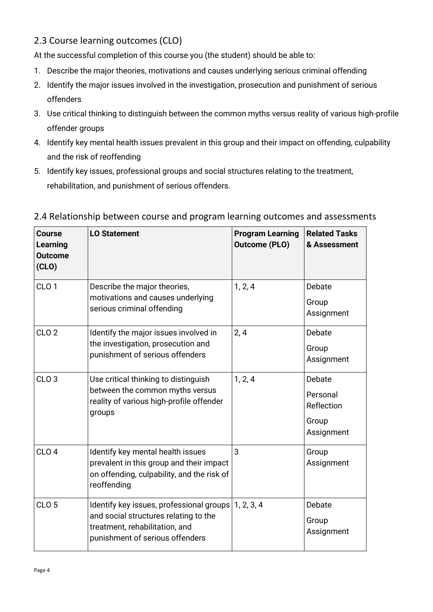#### <span id="page-3-0"></span>2.3 Course learning outcomes (CLO)

At the successful completion of this course you (the student) should be able to:

- 1. Describe the major theories, motivations and causes underlying serious criminal offending
- 2. Identify the major issues involved in the investigation, prosecution and punishment of serious offenders
- 3. Use critical thinking to distinguish between the common myths versus reality of various high-profile offender groups
- 4. Identify key mental health issues prevalent in this group and their impact on offending, culpability and the risk of reoffending
- 5. Identify key issues, professional groups and social structures relating to the treatment, rehabilitation, and punishment of serious offenders.

| <b>Course</b><br>Learning<br><b>Outcome</b><br>(CLO) | <b>LO Statement</b>                                                                                                                                                 | <b>Program Learning</b><br><b>Outcome (PLO)</b> | <b>Related Tasks</b><br>& Assessment                    |
|------------------------------------------------------|---------------------------------------------------------------------------------------------------------------------------------------------------------------------|-------------------------------------------------|---------------------------------------------------------|
| CLO <sub>1</sub>                                     | Describe the major theories,<br>motivations and causes underlying<br>serious criminal offending                                                                     | 1, 2, 4                                         | Debate<br>Group<br>Assignment                           |
| CLO <sub>2</sub>                                     | Identify the major issues involved in<br>the investigation, prosecution and<br>punishment of serious offenders                                                      | 2, 4                                            | Debate<br>Group<br>Assignment                           |
| CLO <sub>3</sub>                                     | Use critical thinking to distinguish<br>between the common myths versus<br>reality of various high-profile offender<br>groups                                       | 1, 2, 4                                         | Debate<br>Personal<br>Reflection<br>Group<br>Assignment |
| CLO <sub>4</sub>                                     | Identify key mental health issues<br>prevalent in this group and their impact<br>on offending, culpability, and the risk of<br>reoffending                          | 3                                               | Group<br>Assignment                                     |
| CLO <sub>5</sub>                                     | Identify key issues, professional groups   1, 2, 3, 4<br>and social structures relating to the<br>treatment, rehabilitation, and<br>punishment of serious offenders |                                                 | Debate<br>Group<br>Assignment                           |

#### <span id="page-3-1"></span>2.4 Relationship between course and program learning outcomes and assessments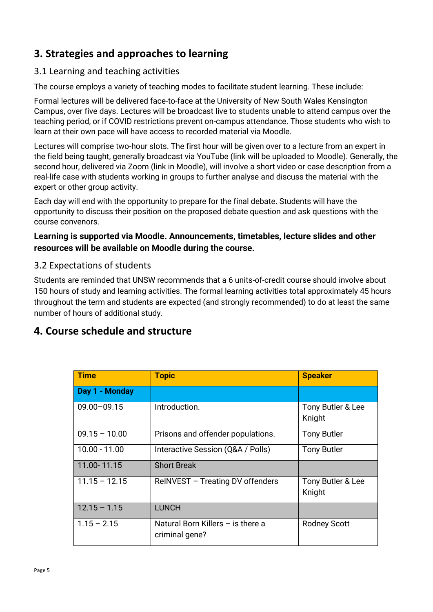## <span id="page-4-0"></span>**3. Strategies and approaches to learning**

#### <span id="page-4-1"></span>3.1 Learning and teaching activities

The course employs a variety of teaching modes to facilitate student learning. These include:

Formal lectures will be delivered face-to-face at the University of New South Wales Kensington Campus, over five days. Lectures will be broadcast live to students unable to attend campus over the teaching period, or if COVID restrictions prevent on-campus attendance. Those students who wish to learn at their own pace will have access to recorded material via Moodle.

Lectures will comprise two-hour slots. The first hour will be given over to a lecture from an expert in the field being taught, generally broadcast via YouTube (link will be uploaded to Moodle). Generally, the second hour, delivered via Zoom (link in Moodle), will involve a short video or case description from a real-life case with students working in groups to further analyse and discuss the material with the expert or other group activity.

Each day will end with the opportunity to prepare for the final debate. Students will have the opportunity to discuss their position on the proposed debate question and ask questions with the course convenors.

#### **Learning is supported via Moodle. Announcements, timetables, lecture slides and other resources will be available on Moodle during the course.**

#### <span id="page-4-2"></span>3.2 Expectations of students

Students are reminded that UNSW recommends that a 6 units-of-credit course should involve about 150 hours of study and learning activities. The formal learning activities total approximately 45 hours throughout the term and students are expected (and strongly recommended) to do at least the same number of hours of additional study.

## <span id="page-4-3"></span>**4. Course schedule and structure**

| <b>Time</b>     | <b>Topic</b>                                        | <b>Speaker</b>              |
|-----------------|-----------------------------------------------------|-----------------------------|
| Day 1 - Monday  |                                                     |                             |
| $09.00 - 09.15$ | Introduction.                                       | Tony Butler & Lee<br>Knight |
| $09.15 - 10.00$ | Prisons and offender populations.                   | <b>Tony Butler</b>          |
| $10.00 - 11.00$ | Interactive Session (Q&A / Polls)                   | <b>Tony Butler</b>          |
| 11.00-11.15     | <b>Short Break</b>                                  |                             |
| $11.15 - 12.15$ | ReINVEST - Treating DV offenders                    | Tony Butler & Lee<br>Knight |
| $12.15 - 1.15$  | <b>LUNCH</b>                                        |                             |
| $1.15 - 2.15$   | Natural Born Killers - is there a<br>criminal gene? | <b>Rodney Scott</b>         |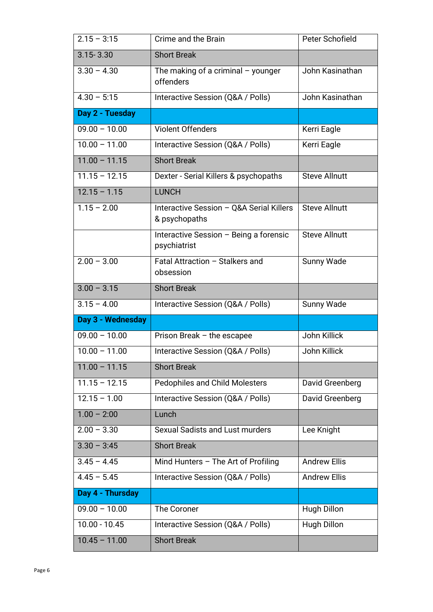| $2.15 - 3:15$     | Crime and the Brain                                       | Peter Schofield      |
|-------------------|-----------------------------------------------------------|----------------------|
| $3.15 - 3.30$     | <b>Short Break</b>                                        |                      |
| $3.30 - 4.30$     | The making of a criminal $-$ younger<br>offenders         | John Kasinathan      |
| $4.30 - 5:15$     | Interactive Session (Q&A / Polls)                         | John Kasinathan      |
| Day 2 - Tuesday   |                                                           |                      |
| $09.00 - 10.00$   | <b>Violent Offenders</b>                                  | Kerri Eagle          |
| $10.00 - 11.00$   | Interactive Session (Q&A / Polls)                         | Kerri Eagle          |
| $11.00 - 11.15$   | <b>Short Break</b>                                        |                      |
| $11.15 - 12.15$   | Dexter - Serial Killers & psychopaths                     | <b>Steve Allnutt</b> |
| $12.15 - 1.15$    | <b>LUNCH</b>                                              |                      |
| $1.15 - 2.00$     | Interactive Session - Q&A Serial Killers<br>& psychopaths | <b>Steve Allnutt</b> |
|                   | Interactive Session - Being a forensic<br>psychiatrist    | <b>Steve Allnutt</b> |
| $2.00 - 3.00$     | Fatal Attraction - Stalkers and<br>obsession              | Sunny Wade           |
| $3.00 - 3.15$     | <b>Short Break</b>                                        |                      |
| $3.15 - 4.00$     | Interactive Session (Q&A / Polls)                         | Sunny Wade           |
| Day 3 - Wednesday |                                                           |                      |
| $09.00 - 10.00$   | Prison Break $-$ the escapee                              | John Killick         |
| $10.00 - 11.00$   | Interactive Session (Q&A / Polls)                         | John Killick         |
| $11.00 - 11.15$   | <b>Short Break</b>                                        |                      |
| $11.15 - 12.15$   | <b>Pedophiles and Child Molesters</b>                     | David Greenberg      |
| $12.15 - 1.00$    | Interactive Session (Q&A / Polls)                         | David Greenberg      |
| $1.00 - 2:00$     | Lunch                                                     |                      |
| $2.00 - 3.30$     | Sexual Sadists and Lust murders                           | Lee Knight           |
| $3.30 - 3:45$     | <b>Short Break</b>                                        |                      |
| $3.45 - 4.45$     | Mind Hunters $-$ The Art of Profiling                     | <b>Andrew Ellis</b>  |
| $4.45 - 5.45$     | Interactive Session (Q&A / Polls)                         | <b>Andrew Ellis</b>  |
| Day 4 - Thursday  |                                                           |                      |
| $09.00 - 10.00$   | The Coroner                                               | <b>Hugh Dillon</b>   |
| $10.00 - 10.45$   | Interactive Session (Q&A / Polls)                         | Hugh Dillon          |
| $10.45 - 11.00$   | <b>Short Break</b>                                        |                      |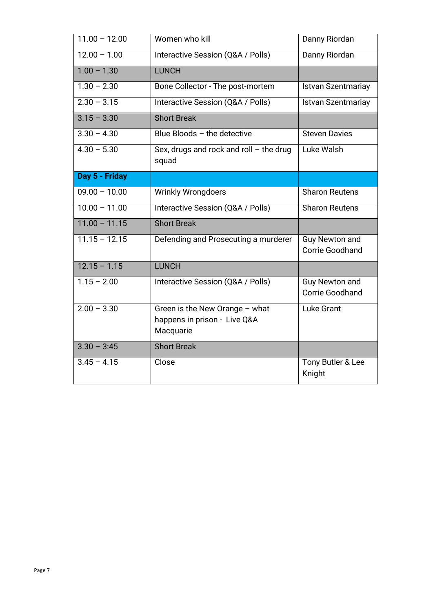| $11.00 - 12.00$ | Women who kill                                                              | Danny Riordan                                   |
|-----------------|-----------------------------------------------------------------------------|-------------------------------------------------|
| $12.00 - 1.00$  | Interactive Session (Q&A / Polls)                                           | Danny Riordan                                   |
| $1.00 - 1.30$   | <b>LUNCH</b>                                                                |                                                 |
| $1.30 - 2.30$   | Bone Collector - The post-mortem                                            | <b>Istvan Szentmariay</b>                       |
| $2.30 - 3.15$   | Interactive Session (Q&A / Polls)                                           | <b>Istvan Szentmariay</b>                       |
| $3.15 - 3.30$   | <b>Short Break</b>                                                          |                                                 |
| $3.30 - 4.30$   | Blue Bloods - the detective                                                 | <b>Steven Davies</b>                            |
| $4.30 - 5.30$   | Sex, drugs and rock and roll $-$ the drug<br>squad                          | Luke Walsh                                      |
| Day 5 - Friday  |                                                                             |                                                 |
| $09.00 - 10.00$ | <b>Wrinkly Wrongdoers</b>                                                   | <b>Sharon Reutens</b>                           |
| $10.00 - 11.00$ | Interactive Session (Q&A / Polls)                                           | <b>Sharon Reutens</b>                           |
| $11.00 - 11.15$ | <b>Short Break</b>                                                          |                                                 |
| $11.15 - 12.15$ | Defending and Prosecuting a murderer                                        | <b>Guy Newton and</b><br><b>Corrie Goodhand</b> |
| $12.15 - 1.15$  | <b>LUNCH</b>                                                                |                                                 |
| $1.15 - 2.00$   | Interactive Session (Q&A / Polls)                                           | <b>Guy Newton and</b><br><b>Corrie Goodhand</b> |
| $2.00 - 3.30$   | Green is the New Orange - what<br>happens in prison - Live Q&A<br>Macquarie | Luke Grant                                      |
| $3.30 - 3:45$   | <b>Short Break</b>                                                          |                                                 |
| $3.45 - 4.15$   | Close                                                                       | Tony Butler & Lee<br>Knight                     |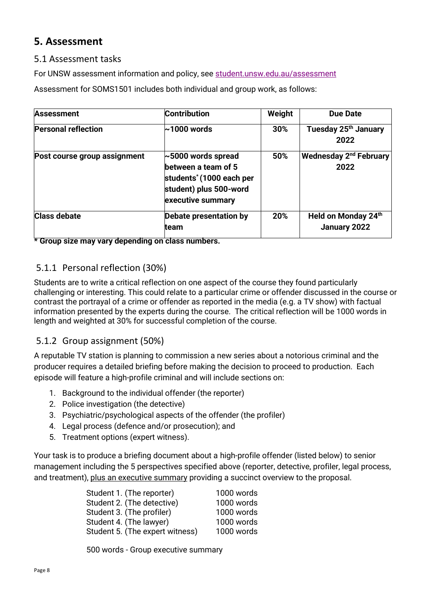## <span id="page-7-0"></span>**5. Assessment**

#### <span id="page-7-1"></span>5.1 Assessment tasks

For UNSW assessment information and policy, see [student.unsw.edu.au/assessment](https://student.unsw.edu.au/assessment)

Assessment for SOMS1501 includes both individual and group work, as follows:

| <b>Assessment</b>            | <b>Contribution</b>                                                                                                                    | Weight | <b>Due Date</b>                                  |
|------------------------------|----------------------------------------------------------------------------------------------------------------------------------------|--------|--------------------------------------------------|
| <b>Personal reflection</b>   | $\sim$ 1000 words                                                                                                                      | 30%    | Tuesday 25th January<br>2022                     |
| Post course group assignment | $\sim$ 5000 words spread<br>between a team of 5<br>students <sup>*</sup> (1000 each per<br>student) plus 500-word<br>executive summary | 50%    | <b>Wednesday 2<sup>nd</sup> February</b><br>2022 |
| <b>Class debate</b>          | Debate presentation by<br>team                                                                                                         | 20%    | Held on Monday 24th<br>January 2022              |

**\* Group size may vary depending on class numbers.** 

#### <span id="page-7-2"></span>5.1.1 Personal reflection (30%)

Students are to write a critical reflection on one aspect of the course they found particularly challenging or interesting. This could relate to a particular crime or offender discussed in the course or contrast the portrayal of a crime or offender as reported in the media (e.g. a TV show) with factual information presented by the experts during the course. The critical reflection will be 1000 words in length and weighted at 30% for successful completion of the course.

#### <span id="page-7-3"></span>5.1.2 Group assignment (50%)

A reputable TV station is planning to commission a new series about a notorious criminal and the producer requires a detailed briefing before making the decision to proceed to production. Each episode will feature a high-profile criminal and will include sections on:

- 1. Background to the individual offender (the reporter)
- 2. Police investigation (the detective)
- 3. Psychiatric/psychological aspects of the offender (the profiler)
- 4. Legal process (defence and/or prosecution); and
- 5. Treatment options (expert witness).

Your task is to produce a briefing document about a high-profile offender (listed below) to senior management including the 5 perspectives specified above (reporter, detective, profiler, legal process, and treatment), plus an executive summary providing a succinct overview to the proposal.

| 1000 words |
|------------|
| 1000 words |
| 1000 words |
| 1000 words |
| 1000 words |
|            |

500 words - Group executive summary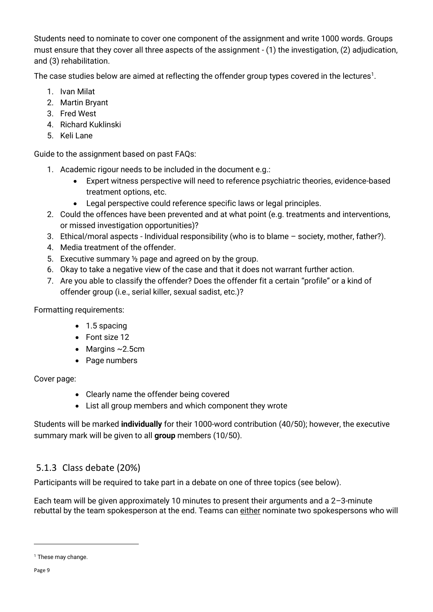Students need to nominate to cover one component of the assignment and write 1000 words. Groups must ensure that they cover all three aspects of the assignment - (1) the investigation, (2) adjudication, and (3) rehabilitation.

The case studies below are aimed at reflecting the offender group types covered in the lectures<sup>1</sup>.

- 1. Ivan Milat
- 2. Martin Bryant
- 3. Fred West
- 4. Richard Kuklinski
- 5. Keli Lane

Guide to the assignment based on past FAQs:

- 1. Academic rigour needs to be included in the document e.g.:
	- Expert witness perspective will need to reference psychiatric theories, evidence-based treatment options, etc.
	- Legal perspective could reference specific laws or legal principles.
- 2. Could the offences have been prevented and at what point (e.g. treatments and interventions, or missed investigation opportunities)?
- 3. Ethical/moral aspects Individual responsibility (who is to blame society, mother, father?).
- 4. Media treatment of the offender.
- 5. Executive summary ½ page and agreed on by the group.
- 6. Okay to take a negative view of the case and that it does not warrant further action.
- 7. Are you able to classify the offender? Does the offender fit a certain "profile" or a kind of offender group (i.e., serial killer, sexual sadist, etc.)?

Formatting requirements:

- 1.5 spacing
- Font size 12
- Margins  $\sim$  2.5cm
- Page numbers

#### Cover page:

- Clearly name the offender being covered
- List all group members and which component they wrote

Students will be marked **individually** for their 1000-word contribution (40/50); however, the executive summary mark will be given to all **group** members (10/50).

## <span id="page-8-0"></span>5.1.3 Class debate (20%)

Participants will be required to take part in a debate on one of three topics (see below).

Each team will be given approximately 10 minutes to present their arguments and a 2–3-minute rebuttal by the team spokesperson at the end. Teams can either nominate two spokespersons who will

<sup>&</sup>lt;sup>1</sup> These may change.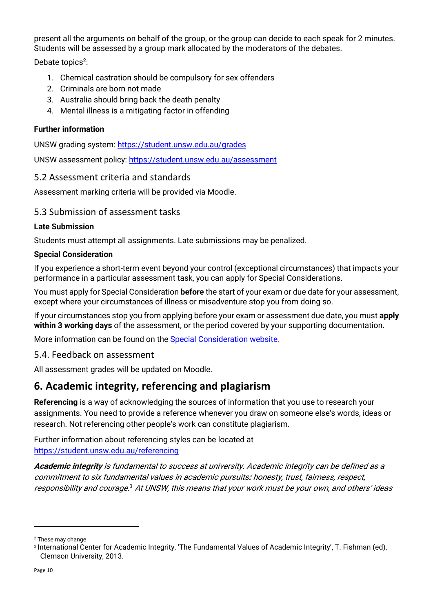present all the arguments on behalf of the group, or the group can decide to each speak for 2 minutes. Students will be assessed by a group mark allocated by the moderators of the debates.

Debate topics<sup>2</sup>:

- 1. Chemical castration should be compulsory for sex offenders
- 2. Criminals are born not made
- 3. Australia should bring back the death penalty
- 4. Mental illness is a mitigating factor in offending

#### **Further information**

UNSW grading system:<https://student.unsw.edu.au/grades>

UNSW assessment policy:<https://student.unsw.edu.au/assessment>

#### <span id="page-9-0"></span>5.2 Assessment criteria and standards

Assessment marking criteria will be provided via Moodle.

#### <span id="page-9-1"></span>5.3 Submission of assessment tasks

#### **Late Submission**

Students must attempt all assignments. Late submissions may be penalized.

#### **Special Consideration**

If you experience a short-term event beyond your control (exceptional circumstances) that impacts your performance in a particular assessment task, you can apply for Special Considerations.

You must apply for Special Consideration **before** the start of your exam or due date for your assessment, except where your circumstances of illness or misadventure stop you from doing so.

If your circumstances stop you from applying before your exam or assessment due date, you must **apply within 3 working days** of the assessment, or the period covered by your supporting documentation.

More information can be found on the [Special Consideration website.](https://www.student.unsw.edu.au/special-consideration)

<span id="page-9-2"></span>5.4. Feedback on assessment

All assessment grades will be updated on Moodle.

## <span id="page-9-3"></span>**6. Academic integrity, referencing and plagiarism**

**Referencing** is a way of acknowledging the sources of information that you use to research your assignments. You need to provide a reference whenever you draw on someone else's words, ideas or research. Not referencing other people's work can constitute plagiarism.

Further information about referencing styles can be located at <https://student.unsw.edu.au/referencing>

**Academic integrity** is fundamental to success at university. Academic integrity can be defined as a commitment to six fundamental values in academic pursuits**:** honesty, trust, fairness, respect, responsibility and courage.<sup>3</sup> At UNSW, this means that your work must be your own, and others' ideas

<sup>2</sup> These may change

<sup>3</sup> International Center for Academic Integrity, 'The Fundamental Values of Academic Integrity', T. Fishman (ed), Clemson University, 2013.